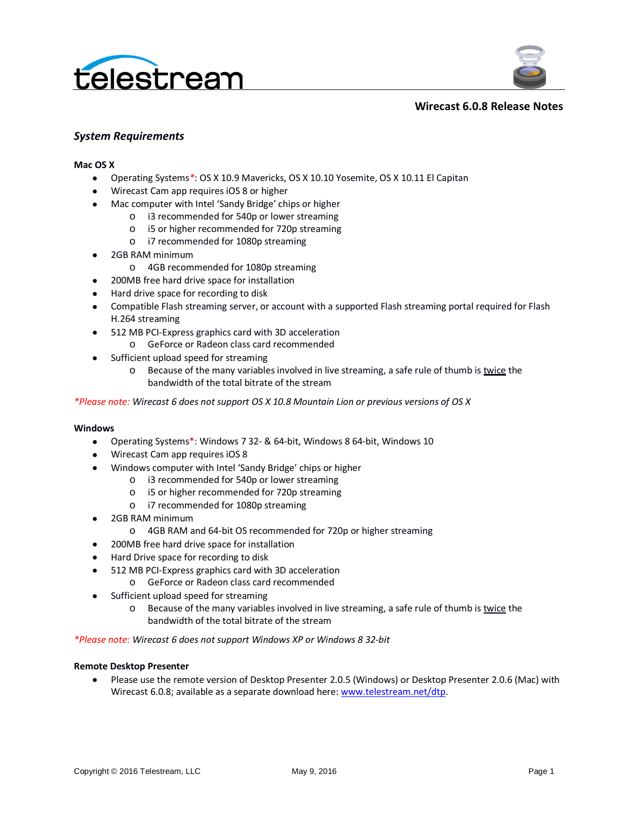



#### **Wirecast 6.0.8 Release Notes**

#### *System Requirements*

#### **Mac OS X**

- Operating Systems*\**: OS X 10.9 Mavericks, OS X 10.10 Yosemite, OS X 10.11 El Capitan
- Wirecast Cam app requires iOS 8 or higher
- Mac computer with Intel 'Sandy Bridge' chips or higher
	- o i3 recommended for 540p or lower streaming
	- o i5 or higher recommended for 720p streaming
	- o i7 recommended for 1080p streaming
- 2GB RAM minimum
	- o 4GB recommended for 1080p streaming
- 200MB free hard drive space for installation
- Hard drive space for recording to disk
- Compatible Flash streaming server, or account with a supported Flash streaming portal required for Flash H.264 streaming
- 512 MB PCI-Express graphics card with 3D acceleration
	- o GeForce or Radeon class card recommended
- Sufficient upload speed for streaming
	- $\circ$  Because of the many variables involved in live streaming, a safe rule of thumb is twice the bandwidth of the total bitrate of the stream

*\*Please note: Wirecast 6 does not support OS X 10.8 Mountain Lion or previous versions of OS X*

#### **Windows**

- Operating Systems\*: Windows 7 32- & 64-bit, Windows 8 64-bit, Windows 10
- Wirecast Cam app requires iOS 8
- Windows computer with Intel 'Sandy Bridge' chips or higher
	- o i3 recommended for 540p or lower streaming
	- o i5 or higher recommended for 720p streaming
	- o i7 recommended for 1080p streaming
- 2GB RAM minimum
	- o 4GB RAM and 64-bit OS recommended for 720p or higher streaming
- 200MB free hard drive space for installation
- Hard Drive space for recording to disk
- 512 MB PCI-Express graphics card with 3D acceleration
	- o GeForce or Radeon class card recommended
- Sufficient upload speed for streaming
	- o Because of the many variables involved in live streaming, a safe rule of thumb is twice the bandwidth of the total bitrate of the stream

*\*Please note: Wirecast 6 does not support Windows XP or Windows 8 32-bit*

#### **Remote Desktop Presenter**

• Please use the remote version of Desktop Presenter 2.0.5 (Windows) or Desktop Presenter 2.0.6 (Mac) with Wirecast 6.0.8; available as a separate download here: [www.telestream.net/dtp.](http://www.telestream.net/dtp)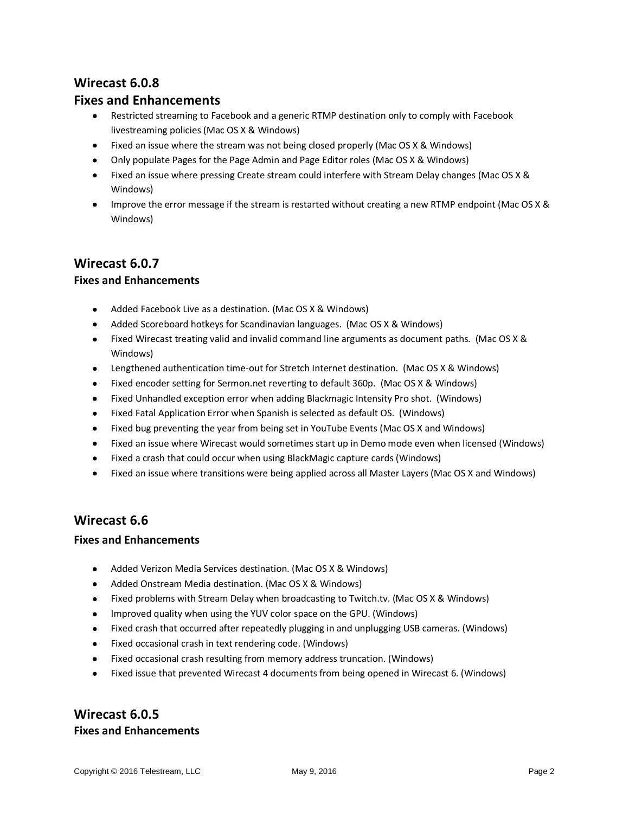# **Wirecast 6.0.8**

### **Fixes and Enhancements**

- Restricted streaming to Facebook and a generic RTMP destination only to comply with Facebook livestreaming policies (Mac OS X & Windows)
- Fixed an issue where the stream was not being closed properly (Mac OS X & Windows)
- Only populate Pages for the Page Admin and Page Editor roles (Mac OS X & Windows)
- Fixed an issue where pressing Create stream could interfere with Stream Delay changes (Mac OS X & Windows)
- Improve the error message if the stream is restarted without creating a new RTMP endpoint (Mac OS X & Windows)

### **Wirecast 6.0.7**

### **Fixes and Enhancements**

- Added Facebook Live as a destination. (Mac OS X & Windows)
- Added Scoreboard hotkeys for Scandinavian languages. (Mac OS X & Windows)
- Fixed Wirecast treating valid and invalid command line arguments as document paths. (Mac OS X & Windows)
- Lengthened authentication time-out for Stretch Internet destination. (Mac OS X & Windows)
- Fixed encoder setting for Sermon.net reverting to default 360p. (Mac OS X & Windows)
- Fixed Unhandled exception error when adding Blackmagic Intensity Pro shot. (Windows)
- Fixed Fatal Application Error when Spanish is selected as default OS. (Windows)
- Fixed bug preventing the year from being set in YouTube Events (Mac OS X and Windows)
- Fixed an issue where Wirecast would sometimes start up in Demo mode even when licensed (Windows)
- Fixed a crash that could occur when using BlackMagic capture cards (Windows)
- Fixed an issue where transitions were being applied across all Master Layers (Mac OS X and Windows)

## **Wirecast 6.6**

#### **Fixes and Enhancements**

- Added Verizon Media Services destination. (Mac OS X & Windows)
- Added Onstream Media destination. (Mac OS X & Windows)
- Fixed problems with Stream Delay when broadcasting to Twitch.tv. (Mac OS X & Windows)
- Improved quality when using the YUV color space on the GPU. (Windows)
- Fixed crash that occurred after repeatedly plugging in and unplugging USB cameras. (Windows)
- Fixed occasional crash in text rendering code. (Windows)
- Fixed occasional crash resulting from memory address truncation. (Windows)
- Fixed issue that prevented Wirecast 4 documents from being opened in Wirecast 6. (Windows)

## **Wirecast 6.0.5 Fixes and Enhancements**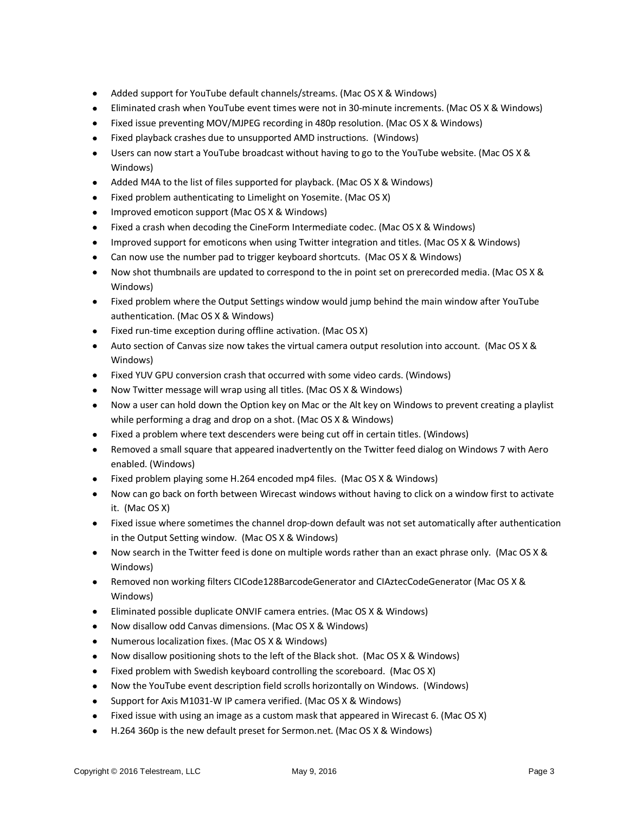- Added support for YouTube default channels/streams. (Mac OS X & Windows)
- Eliminated crash when YouTube event times were not in 30-minute increments. (Mac OS X & Windows)
- Fixed issue preventing MOV/MJPEG recording in 480p resolution. (Mac OS X & Windows)
- Fixed playback crashes due to unsupported AMD instructions. (Windows)
- Users can now start a YouTube broadcast without having to go to the YouTube website. (Mac OS X & Windows)
- Added M4A to the list of files supported for playback. (Mac OS X & Windows)
- Fixed problem authenticating to Limelight on Yosemite. (Mac OS X)
- Improved emoticon support (Mac OS X & Windows)
- Fixed a crash when decoding the CineForm Intermediate codec. (Mac OS X & Windows)
- Improved support for emoticons when using Twitter integration and titles. (Mac OS X & Windows)
- Can now use the number pad to trigger keyboard shortcuts. (Mac OS X & Windows)
- Now shot thumbnails are updated to correspond to the in point set on prerecorded media. (Mac OS X & Windows)
- Fixed problem where the Output Settings window would jump behind the main window after YouTube authentication. (Mac OS X & Windows)
- Fixed run-time exception during offline activation. (Mac OS X)
- Auto section of Canvas size now takes the virtual camera output resolution into account. (Mac OS X & Windows)
- Fixed YUV GPU conversion crash that occurred with some video cards. (Windows)
- Now Twitter message will wrap using all titles. (Mac OS X & Windows)
- Now a user can hold down the Option key on Mac or the Alt key on Windows to prevent creating a playlist while performing a drag and drop on a shot. (Mac OS X & Windows)
- Fixed a problem where text descenders were being cut off in certain titles. (Windows)
- Removed a small square that appeared inadvertently on the Twitter feed dialog on Windows 7 with Aero enabled. (Windows)
- Fixed problem playing some H.264 encoded mp4 files. (Mac OS X & Windows)
- Now can go back on forth between Wirecast windows without having to click on a window first to activate it. (Mac OS X)
- Fixed issue where sometimes the channel drop-down default was not set automatically after authentication in the Output Setting window. (Mac OS X & Windows)
- Now search in the Twitter feed is done on multiple words rather than an exact phrase only. (Mac OS X & Windows)
- Removed non working filters CICode128BarcodeGenerator and CIAztecCodeGenerator (Mac OS X & Windows)
- Eliminated possible duplicate ONVIF camera entries. (Mac OS X & Windows)
- Now disallow odd Canvas dimensions. (Mac OS X & Windows)
- Numerous localization fixes. (Mac OS X & Windows)
- Now disallow positioning shots to the left of the Black shot. (Mac OS X & Windows)
- Fixed problem with Swedish keyboard controlling the scoreboard. (Mac OS X)
- Now the YouTube event description field scrolls horizontally on Windows. (Windows)
- Support for Axis M1031-W IP camera verified. (Mac OS X & Windows)
- Fixed issue with using an image as a custom mask that appeared in Wirecast 6. (Mac OS X)
- H.264 360p is the new default preset for Sermon.net. (Mac OS X & Windows)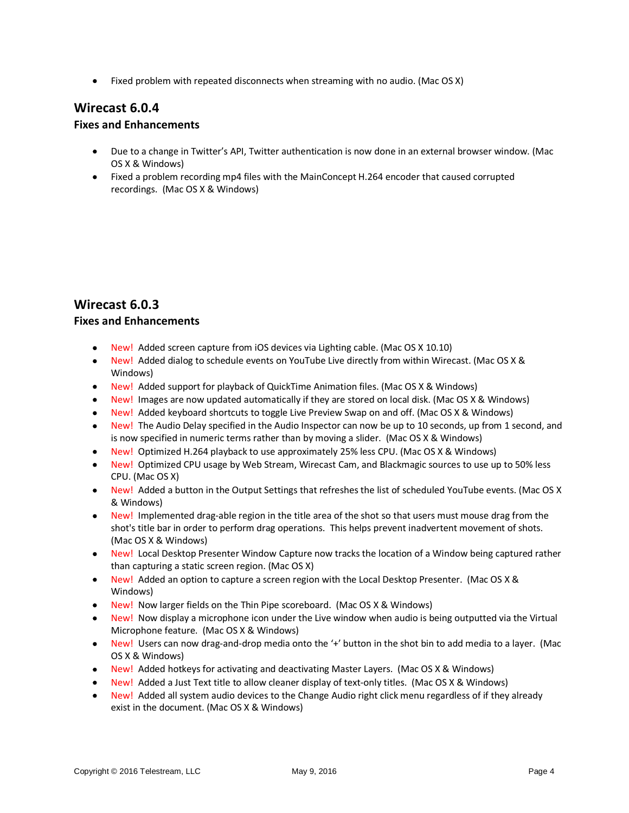• Fixed problem with repeated disconnects when streaming with no audio. (Mac OS X)

## **Wirecast 6.0.4**

#### **Fixes and Enhancements**

- Due to a change in Twitter's API, Twitter authentication is now done in an external browser window. (Mac OS X & Windows)
- Fixed a problem recording mp4 files with the MainConcept H.264 encoder that caused corrupted recordings. (Mac OS X & Windows)

## **Wirecast 6.0.3**

### **Fixes and Enhancements**

- New! Added screen capture from iOS devices via Lighting cable. (Mac OS X 10.10)
- New! Added dialog to schedule events on YouTube Live directly from within Wirecast. (Mac OS X & Windows)
- New! Added support for playback of QuickTime Animation files. (Mac OS X & Windows)
- New! Images are now updated automatically if they are stored on local disk. (Mac OS X & Windows)
- New! Added keyboard shortcuts to toggle Live Preview Swap on and off. (Mac OS X & Windows)
- New! The Audio Delay specified in the Audio Inspector can now be up to 10 seconds, up from 1 second, and is now specified in numeric terms rather than by moving a slider. (Mac OS X & Windows)
- New! Optimized H.264 playback to use approximately 25% less CPU. (Mac OS X & Windows)
- New! Optimized CPU usage by Web Stream, Wirecast Cam, and Blackmagic sources to use up to 50% less CPU. (Mac OS X)
- New! Added a button in the Output Settings that refreshes the list of scheduled YouTube events. (Mac OS X & Windows)
- New! Implemented drag-able region in the title area of the shot so that users must mouse drag from the shot's title bar in order to perform drag operations. This helps prevent inadvertent movement of shots. (Mac OS X & Windows)
- New! Local Desktop Presenter Window Capture now tracks the location of a Window being captured rather than capturing a static screen region. (Mac OS X)
- New! Added an option to capture a screen region with the Local Desktop Presenter. (Mac OS X & Windows)
- New! Now larger fields on the Thin Pipe scoreboard. (Mac OS X & Windows)
- New! Now display a microphone icon under the Live window when audio is being outputted via the Virtual Microphone feature. (Mac OS X & Windows)
- New! Users can now drag-and-drop media onto the '+' button in the shot bin to add media to a layer. (Mac OS X & Windows)
- New! Added hotkeys for activating and deactivating Master Layers. (Mac OS X & Windows)
- New! Added a Just Text title to allow cleaner display of text-only titles. (Mac OS X & Windows)
- New! Added all system audio devices to the Change Audio right click menu regardless of if they already exist in the document. (Mac OS X & Windows)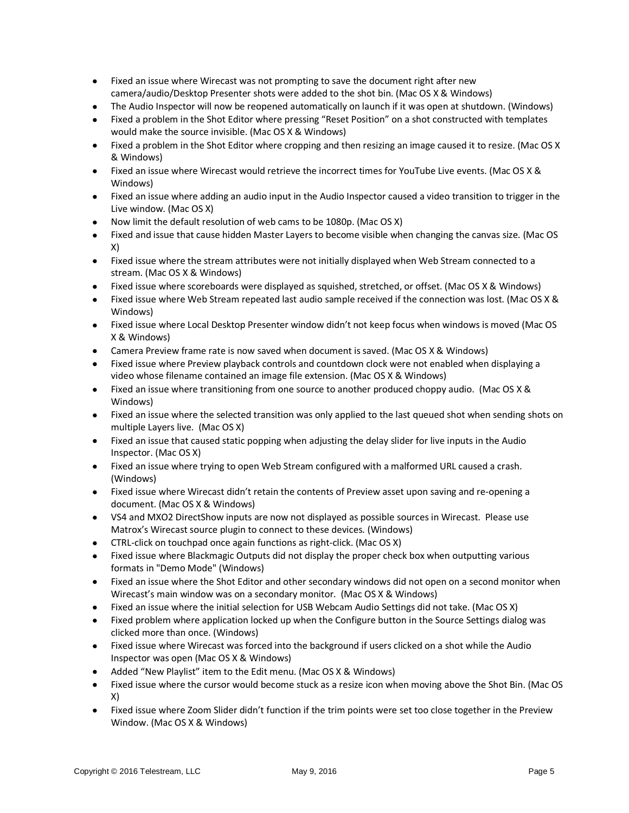- Fixed an issue where Wirecast was not prompting to save the document right after new camera/audio/Desktop Presenter shots were added to the shot bin. (Mac OS X & Windows)
- The Audio Inspector will now be reopened automatically on launch if it was open at shutdown. (Windows)
- Fixed a problem in the Shot Editor where pressing "Reset Position" on a shot constructed with templates would make the source invisible. (Mac OS X & Windows)
- Fixed a problem in the Shot Editor where cropping and then resizing an image caused it to resize. (Mac OS X & Windows)
- Fixed an issue where Wirecast would retrieve the incorrect times for YouTube Live events. (Mac OS X & Windows)
- Fixed an issue where adding an audio input in the Audio Inspector caused a video transition to trigger in the Live window. (Mac OS X)
- Now limit the default resolution of web cams to be 1080p. (Mac OS X)
- Fixed and issue that cause hidden Master Layers to become visible when changing the canvas size. (Mac OS X)
- Fixed issue where the stream attributes were not initially displayed when Web Stream connected to a stream. (Mac OS X & Windows)
- Fixed issue where scoreboards were displayed as squished, stretched, or offset. (Mac OS X & Windows)
- Fixed issue where Web Stream repeated last audio sample received if the connection was lost. (Mac OS X & Windows)
- Fixed issue where Local Desktop Presenter window didn't not keep focus when windows is moved (Mac OS X & Windows)
- Camera Preview frame rate is now saved when document is saved. (Mac OS X & Windows)
- Fixed issue where Preview playback controls and countdown clock were not enabled when displaying a video whose filename contained an image file extension. (Mac OS X & Windows)
- Fixed an issue where transitioning from one source to another produced choppy audio. (Mac OS X & Windows)
- Fixed an issue where the selected transition was only applied to the last queued shot when sending shots on multiple Layers live. (Mac OS X)
- Fixed an issue that caused static popping when adjusting the delay slider for live inputs in the Audio Inspector. (Mac OS X)
- Fixed an issue where trying to open Web Stream configured with a malformed URL caused a crash. (Windows)
- Fixed issue where Wirecast didn't retain the contents of Preview asset upon saving and re-opening a document. (Mac OS X & Windows)
- VS4 and MXO2 DirectShow inputs are now not displayed as possible sources in Wirecast. Please use Matrox's Wirecast source plugin to connect to these devices. (Windows)
- CTRL-click on touchpad once again functions as right-click. (Mac OS X)
- Fixed issue where Blackmagic Outputs did not display the proper check box when outputting various formats in "Demo Mode" (Windows)
- Fixed an issue where the Shot Editor and other secondary windows did not open on a second monitor when Wirecast's main window was on a secondary monitor. (Mac OS X & Windows)
- Fixed an issue where the initial selection for USB Webcam Audio Settings did not take. (Mac OS X)
- Fixed problem where application locked up when the Configure button in the Source Settings dialog was clicked more than once. (Windows)
- Fixed issue where Wirecast was forced into the background if users clicked on a shot while the Audio Inspector was open (Mac OS X & Windows)
- Added "New Playlist" item to the Edit menu. (Mac OS X & Windows)
- Fixed issue where the cursor would become stuck as a resize icon when moving above the Shot Bin. (Mac OS X)
- Fixed issue where Zoom Slider didn't function if the trim points were set too close together in the Preview Window. (Mac OS X & Windows)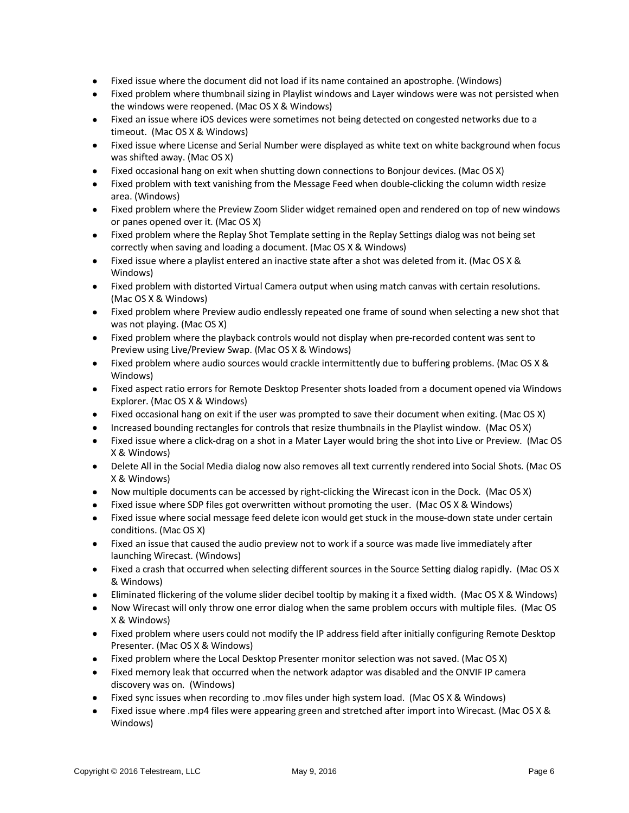- Fixed issue where the document did not load if its name contained an apostrophe. (Windows)
- Fixed problem where thumbnail sizing in Playlist windows and Layer windows were was not persisted when the windows were reopened. (Mac OS X & Windows)
- Fixed an issue where iOS devices were sometimes not being detected on congested networks due to a timeout. (Mac OS X & Windows)
- Fixed issue where License and Serial Number were displayed as white text on white background when focus was shifted away. (Mac OS X)
- Fixed occasional hang on exit when shutting down connections to Bonjour devices. (Mac OS X)
- Fixed problem with text vanishing from the Message Feed when double-clicking the column width resize area. (Windows)
- Fixed problem where the Preview Zoom Slider widget remained open and rendered on top of new windows or panes opened over it. (Mac OS X)
- Fixed problem where the Replay Shot Template setting in the Replay Settings dialog was not being set correctly when saving and loading a document. (Mac OS X & Windows)
- Fixed issue where a playlist entered an inactive state after a shot was deleted from it. (Mac OS X & Windows)
- Fixed problem with distorted Virtual Camera output when using match canvas with certain resolutions. (Mac OS X & Windows)
- Fixed problem where Preview audio endlessly repeated one frame of sound when selecting a new shot that was not playing. (Mac OS X)
- Fixed problem where the playback controls would not display when pre-recorded content was sent to Preview using Live/Preview Swap. (Mac OS X & Windows)
- Fixed problem where audio sources would crackle intermittently due to buffering problems. (Mac OS X & Windows)
- Fixed aspect ratio errors for Remote Desktop Presenter shots loaded from a document opened via Windows Explorer. (Mac OS X & Windows)
- Fixed occasional hang on exit if the user was prompted to save their document when exiting. (Mac OS X)
- Increased bounding rectangles for controls that resize thumbnails in the Playlist window. (Mac OS X)
- Fixed issue where a click-drag on a shot in a Mater Layer would bring the shot into Live or Preview. (Mac OS X & Windows)
- Delete All in the Social Media dialog now also removes all text currently rendered into Social Shots. (Mac OS X & Windows)
- Now multiple documents can be accessed by right-clicking the Wirecast icon in the Dock. (Mac OS X)
- Fixed issue where SDP files got overwritten without promoting the user. (Mac OS X & Windows)
- Fixed issue where social message feed delete icon would get stuck in the mouse-down state under certain conditions. (Mac OS X)
- Fixed an issue that caused the audio preview not to work if a source was made live immediately after launching Wirecast. (Windows)
- Fixed a crash that occurred when selecting different sources in the Source Setting dialog rapidly. (Mac OS X & Windows)
- Eliminated flickering of the volume slider decibel tooltip by making it a fixed width. (Mac OS X & Windows)
- Now Wirecast will only throw one error dialog when the same problem occurs with multiple files. (Mac OS X & Windows)
- Fixed problem where users could not modify the IP address field after initially configuring Remote Desktop Presenter. (Mac OS X & Windows)
- Fixed problem where the Local Desktop Presenter monitor selection was not saved. (Mac OS X)
- Fixed memory leak that occurred when the network adaptor was disabled and the ONVIF IP camera discovery was on. (Windows)
- Fixed sync issues when recording to .mov files under high system load. (Mac OS X & Windows)
- Fixed issue where .mp4 files were appearing green and stretched after import into Wirecast. (Mac OS X & Windows)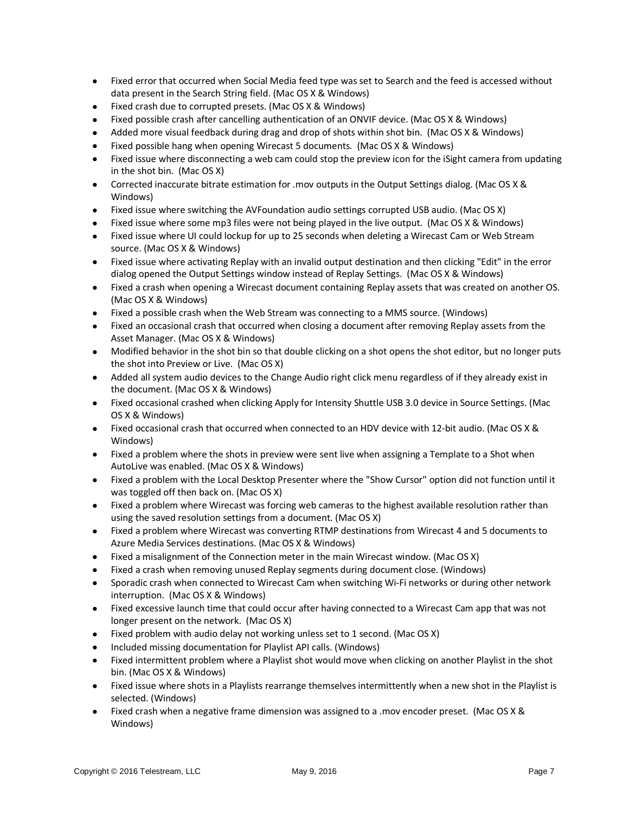- Fixed error that occurred when Social Media feed type was set to Search and the feed is accessed without data present in the Search String field. (Mac OS X & Windows)
- Fixed crash due to corrupted presets. (Mac OS X & Windows)
- Fixed possible crash after cancelling authentication of an ONVIF device. (Mac OS X & Windows)
- Added more visual feedback during drag and drop of shots within shot bin. (Mac OS X & Windows)
- Fixed possible hang when opening Wirecast 5 documents. (Mac OS X & Windows)
- Fixed issue where disconnecting a web cam could stop the preview icon for the iSight camera from updating in the shot bin. (Mac OS X)
- Corrected inaccurate bitrate estimation for .mov outputs in the Output Settings dialog. (Mac OS X & Windows)
- Fixed issue where switching the AVFoundation audio settings corrupted USB audio. (Mac OS X)
- Fixed issue where some mp3 files were not being played in the live output. (Mac OS X & Windows)
- Fixed issue where UI could lockup for up to 25 seconds when deleting a Wirecast Cam or Web Stream source. (Mac OS X & Windows)
- Fixed issue where activating Replay with an invalid output destination and then clicking "Edit" in the error dialog opened the Output Settings window instead of Replay Settings. (Mac OS X & Windows)
- Fixed a crash when opening a Wirecast document containing Replay assets that was created on another OS. (Mac OS X & Windows)
- Fixed a possible crash when the Web Stream was connecting to a MMS source. (Windows)
- Fixed an occasional crash that occurred when closing a document after removing Replay assets from the Asset Manager. (Mac OS X & Windows)
- Modified behavior in the shot bin so that double clicking on a shot opens the shot editor, but no longer puts the shot into Preview or Live. (Mac OS X)
- Added all system audio devices to the Change Audio right click menu regardless of if they already exist in the document. (Mac OS X & Windows)
- Fixed occasional crashed when clicking Apply for Intensity Shuttle USB 3.0 device in Source Settings. (Mac OS X & Windows)
- Fixed occasional crash that occurred when connected to an HDV device with 12-bit audio. (Mac OS X & Windows)
- Fixed a problem where the shots in preview were sent live when assigning a Template to a Shot when AutoLive was enabled. (Mac OS X & Windows)
- Fixed a problem with the Local Desktop Presenter where the "Show Cursor" option did not function until it was toggled off then back on. (Mac OS X)
- Fixed a problem where Wirecast was forcing web cameras to the highest available resolution rather than using the saved resolution settings from a document. (Mac OS X)
- Fixed a problem where Wirecast was converting RTMP destinations from Wirecast 4 and 5 documents to Azure Media Services destinations. (Mac OS X & Windows)
- Fixed a misalignment of the Connection meter in the main Wirecast window. (Mac OS X)
- Fixed a crash when removing unused Replay segments during document close. (Windows)
- Sporadic crash when connected to Wirecast Cam when switching Wi-Fi networks or during other network interruption. (Mac OS X & Windows)
- Fixed excessive launch time that could occur after having connected to a Wirecast Cam app that was not longer present on the network. (Mac OS X)
- Fixed problem with audio delay not working unless set to 1 second. (Mac OS X)
- Included missing documentation for Playlist API calls. (Windows)
- Fixed intermittent problem where a Playlist shot would move when clicking on another Playlist in the shot bin. (Mac OS X & Windows)
- Fixed issue where shots in a Playlists rearrange themselves intermittently when a new shot in the Playlist is selected. (Windows)
- Fixed crash when a negative frame dimension was assigned to a .mov encoder preset. (Mac OS X & Windows)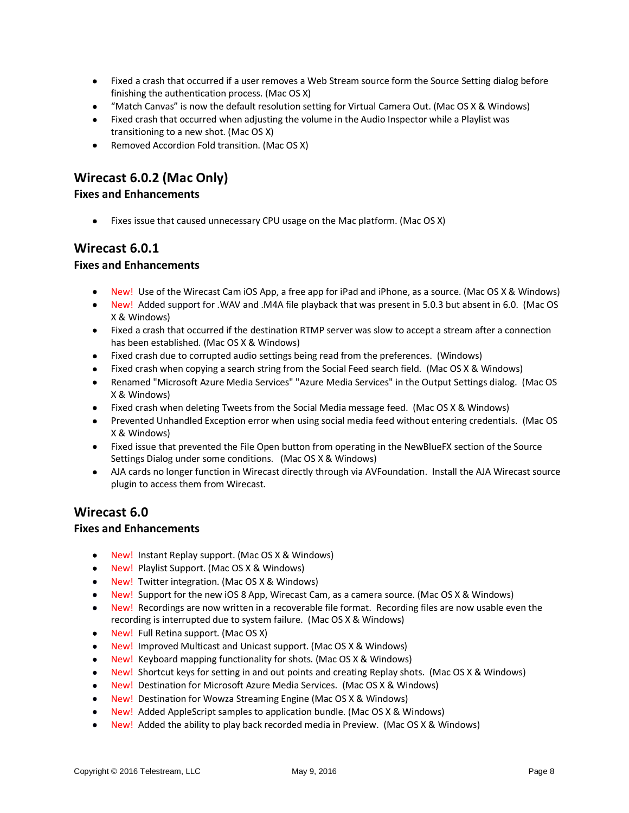- Fixed a crash that occurred if a user removes a Web Stream source form the Source Setting dialog before finishing the authentication process. (Mac OS X)
- "Match Canvas" is now the default resolution setting for Virtual Camera Out. (Mac OS X & Windows)
- Fixed crash that occurred when adjusting the volume in the Audio Inspector while a Playlist was transitioning to a new shot. (Mac OS X)
- Removed Accordion Fold transition. (Mac OS X)

# **Wirecast 6.0.2 (Mac Only)**

### **Fixes and Enhancements**

• Fixes issue that caused unnecessary CPU usage on the Mac platform. (Mac OS X)

### **Wirecast 6.0.1**

### **Fixes and Enhancements**

- New! Use of the Wirecast Cam iOS App, a free app for iPad and iPhone, as a source. (Mac OS X & Windows)
- New! Added support for .WAV and .M4A file playback that was present in 5.0.3 but absent in 6.0. (Mac OS X & Windows)
- Fixed a crash that occurred if the destination RTMP server was slow to accept a stream after a connection has been established. (Mac OS X & Windows)
- Fixed crash due to corrupted audio settings being read from the preferences. (Windows)
- Fixed crash when copying a search string from the Social Feed search field. (Mac OS X & Windows)
- Renamed "Microsoft Azure Media Services" "Azure Media Services" in the Output Settings dialog. (Mac OS X & Windows)
- Fixed crash when deleting Tweets from the Social Media message feed. (Mac OS X & Windows)
- Prevented Unhandled Exception error when using social media feed without entering credentials. (Mac OS X & Windows)
- Fixed issue that prevented the File Open button from operating in the NewBlueFX section of the Source Settings Dialog under some conditions. (Mac OS X & Windows)
- AJA cards no longer function in Wirecast directly through via AVFoundation. Install the AJA Wirecast source plugin to access them from Wirecast.

## **Wirecast 6.0**

#### **Fixes and Enhancements**

- New! Instant Replay support. (Mac OS X & Windows)
- New! Playlist Support. (Mac OS X & Windows)
- New! Twitter integration. (Mac OS X & Windows)
- New! Support for the new iOS 8 App, Wirecast Cam, as a camera source. (Mac OS X & Windows)
- New! Recordings are now written in a recoverable file format. Recording files are now usable even the recording is interrupted due to system failure. (Mac OS X & Windows)
- New! Full Retina support. (Mac OS X)
- New! Improved Multicast and Unicast support. (Mac OS X & Windows)
- New! Keyboard mapping functionality for shots. (Mac OS X & Windows)
- New! Shortcut keys for setting in and out points and creating Replay shots. (Mac OS X & Windows)
- New! Destination for Microsoft Azure Media Services. (Mac OS X & Windows)
- New! Destination for Wowza Streaming Engine (Mac OS X & Windows)
- New! Added AppleScript samples to application bundle. (Mac OS X & Windows)
- New! Added the ability to play back recorded media in Preview. (Mac OS X & Windows)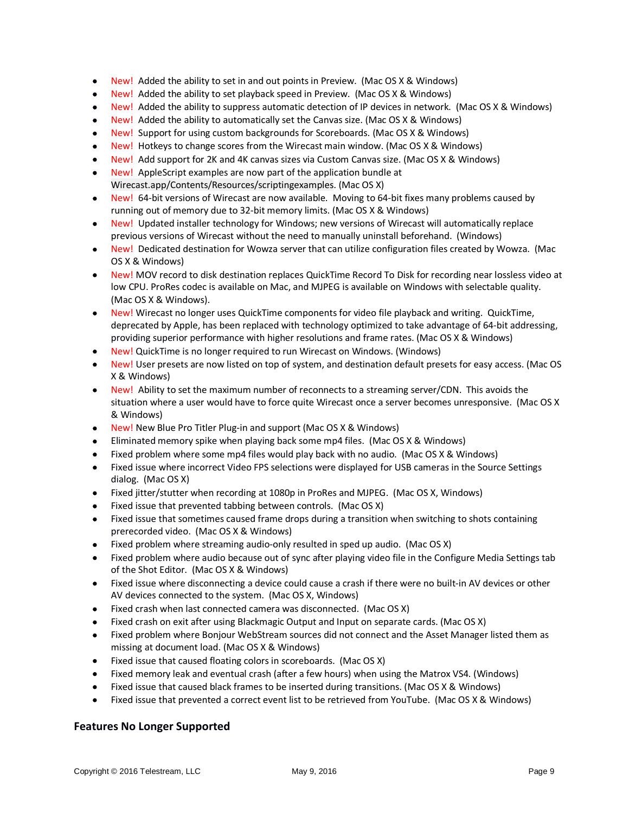- New! Added the ability to set in and out points in Preview. (Mac OS X & Windows)
- New! Added the ability to set playback speed in Preview. (Mac OS X & Windows)
- New! Added the ability to suppress automatic detection of IP devices in network. (Mac OS X & Windows)
- New! Added the ability to automatically set the Canvas size. (Mac OS X & Windows)
- New! Support for using custom backgrounds for Scoreboards. (Mac OS X & Windows)
- New! Hotkeys to change scores from the Wirecast main window. (Mac OS X & Windows)
- New! Add support for 2K and 4K canvas sizes via Custom Canvas size. (Mac OS X & Windows)
- New! AppleScript examples are now part of the application bundle at Wirecast.app/Contents/Resources/scriptingexamples. (Mac OS X)
- New! 64-bit versions of Wirecast are now available. Moving to 64-bit fixes many problems caused by running out of memory due to 32-bit memory limits. (Mac OS X & Windows)
- New! Updated installer technology for Windows; new versions of Wirecast will automatically replace previous versions of Wirecast without the need to manually uninstall beforehand. (Windows)
- New! Dedicated destination for Wowza server that can utilize configuration files created by Wowza. (Mac OS X & Windows)
- New! MOV record to disk destination replaces QuickTime Record To Disk for recording near lossless video at low CPU. ProRes codec is available on Mac, and MJPEG is available on Windows with selectable quality. (Mac OS X & Windows).
- New! Wirecast no longer uses QuickTime components for video file playback and writing. QuickTime, deprecated by Apple, has been replaced with technology optimized to take advantage of 64-bit addressing, providing superior performance with higher resolutions and frame rates. (Mac OS X & Windows)
- New! QuickTime is no longer required to run Wirecast on Windows. (Windows)
- New! User presets are now listed on top of system, and destination default presets for easy access. (Mac OS X & Windows)
- New! Ability to set the maximum number of reconnects to a streaming server/CDN. This avoids the situation where a user would have to force quite Wirecast once a server becomes unresponsive. (Mac OS X & Windows)
- New! New Blue Pro Titler Plug-in and support (Mac OS X & Windows)
- Eliminated memory spike when playing back some mp4 files. (Mac OS X & Windows)
- Fixed problem where some mp4 files would play back with no audio. (Mac OS X & Windows)
- Fixed issue where incorrect Video FPS selections were displayed for USB cameras in the Source Settings dialog. (Mac OS X)
- Fixed jitter/stutter when recording at 1080p in ProRes and MJPEG. (Mac OS X, Windows)
- Fixed issue that prevented tabbing between controls. (Mac OS X)
- Fixed issue that sometimes caused frame drops during a transition when switching to shots containing prerecorded video. (Mac OS X & Windows)
- Fixed problem where streaming audio-only resulted in sped up audio. (Mac OS X)
- Fixed problem where audio because out of sync after playing video file in the Configure Media Settings tab of the Shot Editor. (Mac OS X & Windows)
- Fixed issue where disconnecting a device could cause a crash if there were no built-in AV devices or other AV devices connected to the system. (Mac OS X, Windows)
- Fixed crash when last connected camera was disconnected. (Mac OS X)
- Fixed crash on exit after using Blackmagic Output and Input on separate cards. (Mac OS X)
- Fixed problem where Bonjour WebStream sources did not connect and the Asset Manager listed them as missing at document load. (Mac OS X & Windows)
- Fixed issue that caused floating colors in scoreboards. (Mac OS X)
- Fixed memory leak and eventual crash (after a few hours) when using the Matrox VS4. (Windows)
- Fixed issue that caused black frames to be inserted during transitions. (Mac OS X & Windows)
- Fixed issue that prevented a correct event list to be retrieved from YouTube. (Mac OS X & Windows)

#### **Features No Longer Supported**